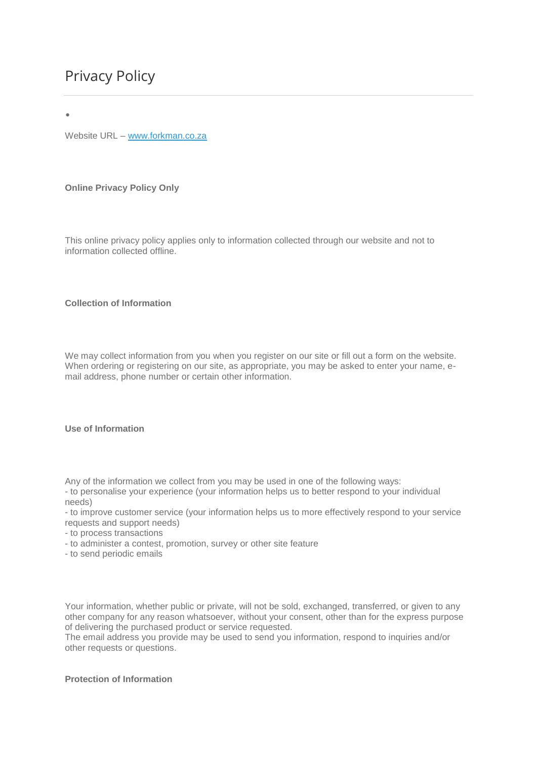•

Website URL – [www.forkman.co.za](http://www.forkman.co.za/)

**Online Privacy Policy Only**

This online privacy policy applies only to information collected through our website and not to information collected offline.

# **Collection of Information**

We may collect information from you when you register on our site or fill out a form on the website. When ordering or registering on our site, as appropriate, you may be asked to enter your name, email address, phone number or certain other information.

### **Use of Information**

Any of the information we collect from you may be used in one of the following ways:

- to personalise your experience (your information helps us to better respond to your individual needs)

- to improve customer service (your information helps us to more effectively respond to your service requests and support needs)

- to process transactions
- to administer a contest, promotion, survey or other site feature
- to send periodic emails

Your information, whether public or private, will not be sold, exchanged, transferred, or given to any other company for any reason whatsoever, without your consent, other than for the express purpose of delivering the purchased product or service requested.

The email address you provide may be used to send you information, respond to inquiries and/or other requests or questions.

# **Protection of Information**